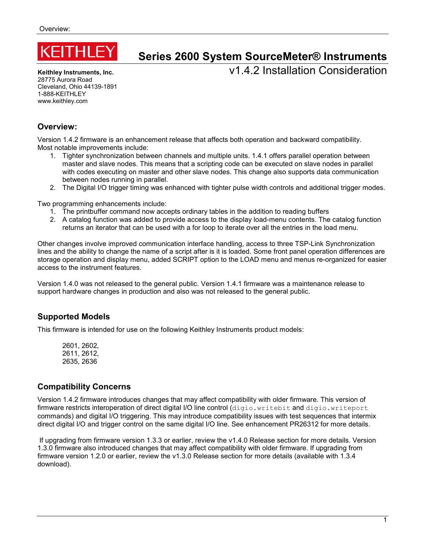

# **Series 2600 System SourceMeter® Instruments**

**Keithley Instruments, Inc.** 28775 Aurora Road Cleveland, Ohio 44139-1891 1-888-KFITHLFY www.keithley.com

v1.4.2 Installation Consideration

## **Overview:**

Version 1.4.2 firmware is an enhancement release that affects both operation and backward compatibility. Most notable improvements include:

- 1. Tighter synchronization between channels and multiple units. 1.4.1 offers parallel operation between master and slave nodes. This means that a scripting code can be executed on slave nodes in parallel with codes executing on master and other slave nodes. This change also supports data communication between nodes running in parallel.
- 2. The Digital I/O trigger timing was enhanced with tighter pulse width controls and additional trigger modes.

Two programming enhancements include:

- 1. The printbuffer command now accepts ordinary tables in the addition to reading buffers
- 2. A catalog function was added to provide access to the display load-menu contents. The catalog function returns an iterator that can be used with a for loop to iterate over all the entries in the load menu.

Other changes involve improved communication interface handling, access to three TSP-Link Synchronization lines and the ability to change the name of a script after is it is loaded. Some front panel operation differences are storage operation and display menu, added SCRIPT option to the LOAD menu and menus re-organized for easier access to the instrument features.

Version 1.4.0 was not released to the general public. Version 1.4.1 firmware was a maintenance release to support hardware changes in production and also was not released to the general public.

## **Supported Models**

This firmware is intended for use on the following Keithley Instruments product models:

2601, 2602, 2611, 2612, 2635, 2636

# **Compatibility Concerns**

Version 1.4.2 firmware introduces changes that may affect compatibility with older firmware. This version of firmware restricts interoperation of direct digital I/O line control (digio.writebit and digio.writeport commands) and digital I/O triggering. This may introduce compatibility issues with test sequences that intermix direct digital I/O and trigger control on the same digital I/O line. See enhancement PR26312 for more details.

 If upgrading from firmware version 1.3.3 or earlier, review the v1.4.0 Release section for more details. Version 1.3.0 firmware also introduced changes that may affect compatibility with older firmware. If upgrading from firmware version 1.2.0 or earlier, review the v1.3.0 Release section for more details (available with 1.3.4 download).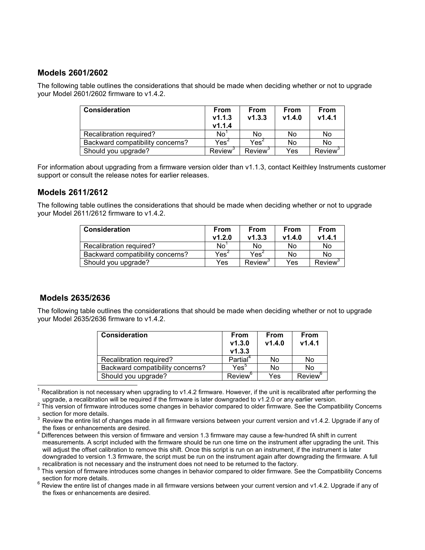## **Models 2601/2602**

The following table outlines the considerations that should be made when deciding whether or not to upgrade your Model 2601/2602 firmware to v1.4.2.

| Consideration                    | <b>From</b><br>V1.1.3<br>V1.1.4 | From<br>V1.3.3              | From<br>V1.4.0 | <b>From</b><br>V1.4.1 |
|----------------------------------|---------------------------------|-----------------------------|----------------|-----------------------|
| Recalibration required?          | No                              | No                          | No             | No                    |
| Backward compatibility concerns? | Yes <sup>2</sup>                | $\mathsf{Yes}^{\mathsf{2}}$ | No             | No                    |
| Should you upgrade?              | Review <sup>3</sup>             | Review <sup>3</sup>         | Yes            | Review <sup>3</sup>   |

For information about upgrading from a firmware version older than v1.1.3, contact Keithley Instruments customer support or consult the release notes for earlier releases.

## **Models 2611/2612**

The following table outlines the considerations that should be made when deciding whether or not to upgrade your Model 2611/2612 firmware to v1.4.2.

| <b>Consideration</b>             | From<br>V1.2.0   | <b>From</b><br>V1.3.3 | From<br>V1.4.0 | <b>From</b><br>V1.4.1 |
|----------------------------------|------------------|-----------------------|----------------|-----------------------|
| Recalibration required?          | No               | No                    | No             | No                    |
| Backward compatibility concerns? | Yes <sup>2</sup> | Yes $^{\mathsf{c}}$   | No             | No                    |
| Should you upgrade?              | Yes              | Review <sup>3</sup>   | Yes            | Review <sup>3</sup>   |

## **Models 2635/2636**

The following table outlines the considerations that should be made when deciding whether or not to upgrade your Model 2635/2636 firmware to v1.4.2.

| <b>Consideration</b>             | From<br>V1.3.0<br>V1.3.3 | From<br>V1.4.0 | <b>From</b><br>V1.4.1 |
|----------------------------------|--------------------------|----------------|-----------------------|
| Recalibration required?          | Partial <sup>4</sup>     | No             | No                    |
| Backward compatibility concerns? | $\mathsf{Yes}^5$         | No             | No                    |
| Should you upgrade?              | Review <sup>6</sup>      | Yes            | Review <sup>6</sup>   |

 $\overline{1}$ 1 Recalibration is not necessary when upgrading to v1.4.2 firmware. However, if the unit is recalibrated after performing the upgrade, a recalibration will be required if the firmware is later downgraded to v1.2.0 or any earlier version.

5 This version of firmware introduces some changes in behavior compared to older firmware. See the Compatibility Concerns section for more details.

6 Review the entire list of changes made in all firmware versions between your current version and v1.4.2. Upgrade if any of the fixes or enhancements are desired.

<sup>2</sup> This version of firmware introduces some changes in behavior compared to older firmware. See the Compatibility Concerns section for more details.

<sup>3</sup> Review the entire list of changes made in all firmware versions between your current version and v1.4.2. Upgrade if any of the fixes or enhancements are desired.

<sup>4</sup> Differences between this version of firmware and version 1.3 firmware may cause a few-hundred fA shift in current measurements. A script included with the firmware should be run one time on the instrument after upgrading the unit. This will adjust the offset calibration to remove this shift. Once this script is run on an instrument, if the instrument is later downgraded to version 1.3 firmware, the script must be run on the instrument again after downgrading the firmware. A full recalibration is not necessary and the instrument does not need to be returned to the factory.